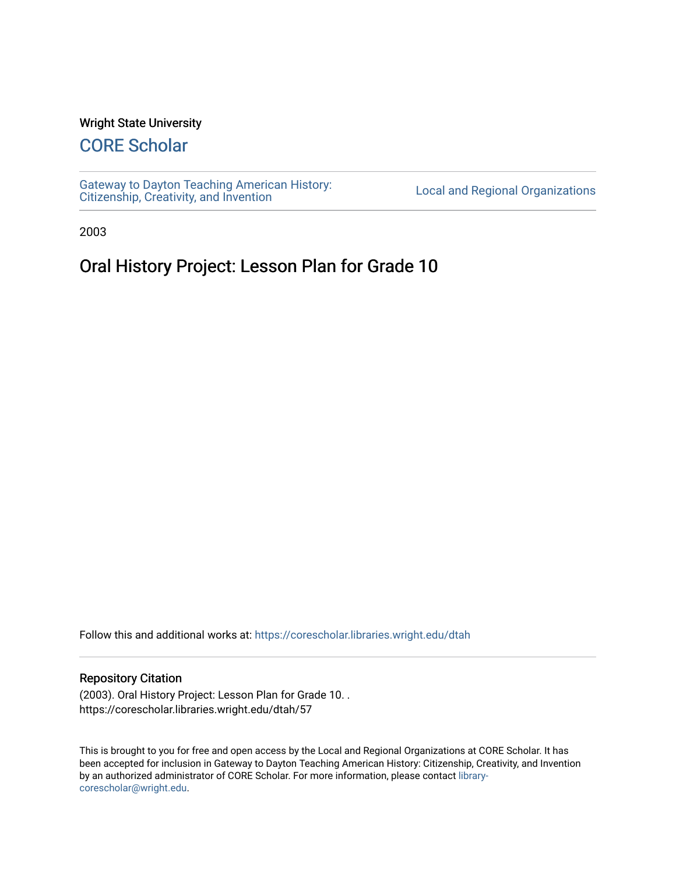#### Wright State University

## [CORE Scholar](https://corescholar.libraries.wright.edu/)

[Gateway to Dayton Teaching American History:](https://corescholar.libraries.wright.edu/dtah)  Gateway to Dayton Teaching American History.<br>[Citizenship, Creativity, and Invention](https://corescholar.libraries.wright.edu/dtah) Listory Local and Regional Organizations

2003

# Oral History Project: Lesson Plan for Grade 10

Follow this and additional works at: [https://corescholar.libraries.wright.edu/dtah](https://corescholar.libraries.wright.edu/dtah?utm_source=corescholar.libraries.wright.edu%2Fdtah%2F57&utm_medium=PDF&utm_campaign=PDFCoverPages)

#### Repository Citation

(2003). Oral History Project: Lesson Plan for Grade 10. . https://corescholar.libraries.wright.edu/dtah/57

This is brought to you for free and open access by the Local and Regional Organizations at CORE Scholar. It has been accepted for inclusion in Gateway to Dayton Teaching American History: Citizenship, Creativity, and Invention by an authorized administrator of CORE Scholar. For more information, please contact [library](mailto:library-corescholar@wright.edu)[corescholar@wright.edu](mailto:library-corescholar@wright.edu).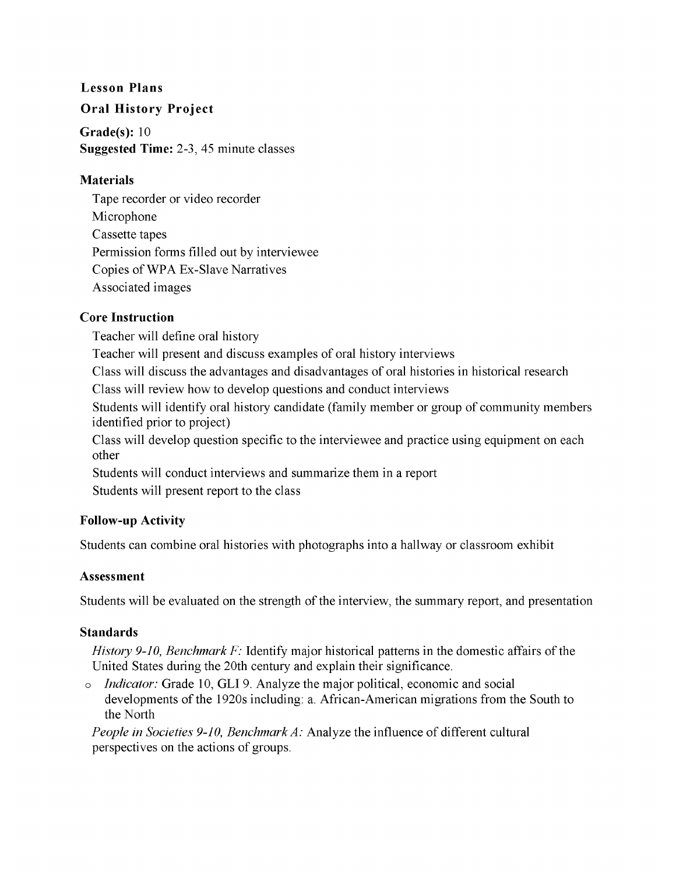#### **Lesson Plans**

#### **Oral History Project**

**Grade(s):** 10 **Suggested Time:** 2-3, 45 minute classes

#### **Materials**

Tape recorder or video recorder Microphone Cassette tapes Permission forms filled out by interviewee Copies ofWPA Ex-Slave Narratives Associated images

#### **Core Instruction**

Teacher will define oral history

Teacher will present and discuss examples of oral history interviews

Class will discuss the advantages and disadvantages of oral histories in historical research

Class will review how to develop questions and conduct interviews

Students will identify oral history candidate (family member or group of community members identified prior to project)

Class will develop question specific to the interviewee and practice using equipment on each other

Students will conduct interviews and summarize them in a report

Students will present report to the class

### **Follow-up Activity**

Students can combine oral histories with photographs into a hallway or classroom exhibit

### **Assessment**

Students will be evaluated on the strength of the interview, the summary report, and presentation

#### **Standards**

*History 9-10, Benchmark* F: Identify major historical patterns in the domestic affairs of the United States during the 20th century and explain their significance.

o *Indicator:* Grade 10, **GLI** 9. Analyze the major political, economic and social developments of the 1920s including: a. African-American migrations from the South to the North

*People in Societies 9-10, Benchmark A:* Analyze the influence of different cultural perspectives on the actions of groups.